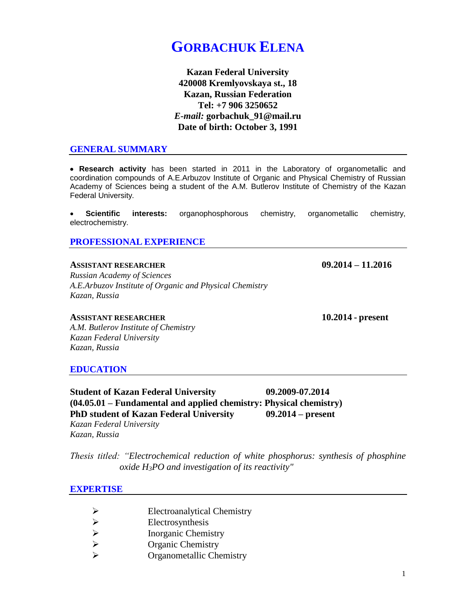# **GORBACHUK ELENA**

**Kazan Federal University 420008 Kremlyovskaya st., 18 Kazan, Russian Federation Tel: +7 906 3250652** *E-mail:* **gorbachuk\_91@mail.ru Date of birth: October 3, 1991**

#### **GENERAL SUMMARY**

• **Research activity** has been started in 2011 in the Laboratory of organometallic and coordination compounds of A.E.Arbuzov Institute of Organic and Physical Chemistry of Russian Academy of Sciences being a student of the A.M. Butlerov Institute of Chemistry of the Kazan Federal University.

• **Scientific interests:** organophosphorous chemistry, organometallic chemistry, electrochemistry.

**PROFESSIONAL EXPERIENCE**

**ASSISTANT RESEARCHER 09.2014 – 11.2016** *Russian Academy of Sciences A.E.Arbuzov Institute of Organic and Physical Chemistry Kazan, Russia* 

**ASSISTANT RESEARCHER 10.2014 - present**

*A.M. Butlerov Institute of Chemistry Kazan Federal University Kazan, Russia*

### **EDUCATION**

**Student of Kazan Federal University 09.2009-07.2014 (04.05.01 – Fundamental and applied chemistry: Physical chemistry) PhD student of Kazan Federal University 09.2014 – present** *Kazan Federal University Kazan, Russia*

*Thesis titled: "Electrochemical reduction of white phosphorus: synthesis of phosphine oxide H3PO and investigation of its reactivity"*

### **EXPERTISE**

- ➢ Electroanalytical Chemistry
- →<br>
<del>Electrosynthesis</del><br>
→<br>
Inorganic Chemi
- ➢ Inorganic Chemistry
- ➢ Organic Chemistry
- ➢ Organometallic Chemistry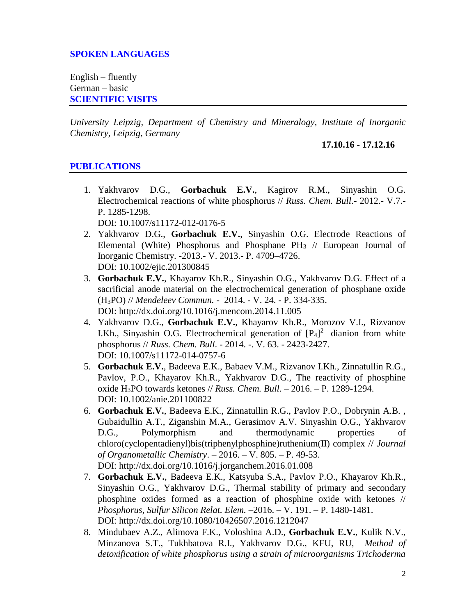## **SPOKEN LANGUAGES**

English – fluently German – basic **SCIENTIFIC VISITS**

*University Leipzig, Department of Chemistry and Mineralogy, Institute of Inorganic Chemistry, Leipzig, Germany*

**17.10.16 - 17.12.16**

### **PUBLICATIONS**

- 1. Yakhvarov D.G., **Gorbachuk E.V.**, Kagirov R.M., Sinyashin O.G. Electrochemical reactions of white phosphorus // *Russ. Chem. Bull*.- 2012.- V.7.- P. 1285-1298. DOI: 10.1007/s11172-012-0176-5
- 2. Yakhvarov D.G., **Gorbachuk E.V.**, Sinyashin O.G. Electrode Reactions of Elemental (White) Phosphorus and Phosphane  $PH_3$  // European Journal of Inorganic Chemistry. -2013.- V. 2013.- P. 4709–4726. DOI: 10.1002/ejic.201300845
- 3. **Gorbachuk E.V.**, Khayarov Kh.R., Sinyashin O.G., Yakhvarov D.G. Effect of a sacrificial anode material on the electrochemical generation of phosphane oxide (H3PO) // *Mendeleev Commun.* - 2014. - V. 24. - P. 334-335. DOI: http://dx.doi.org/10.1016/j.mencom.2014.11.005
- 4. Yakhvarov D.G., **Gorbachuk E.V.**, Khayarov Kh.R., Morozov V.I., Rizvanov I.Kh., Sinyashin O.G. Electrochemical generation of  $[P_4]^{2-}$  dianion from white phosphorus // *Russ. Chem. Bull*. - 2014. -. V. 63. - 2423-2427. DOI: 10.1007/s11172-014-0757-6
- 5. **Gorbachuk E.V.**, Badeeva E.K., Babaev V.M., Rizvanov I.Kh., Zinnatullin R.G., Pavlov, P.O., Khayarov Kh.R., Yakhvarov D.G., The reactivity of phosphine oxide H3PO towards ketones // *Russ. Chem. Bull*. – 2016. – P. 1289-1294. DOI: 10.1002/anie.201100822
- 6. **Gorbachuk E.V.**, Badeeva E.K., Zinnatullin R.G., Pavlov P.O., Dobrynin A.B. , Gubaidullin A.T., Ziganshin M.A., Gerasimov A.V. Sinyashin O.G., Yakhvarov D.G., Polymorphism and thermodynamic properties of chloro(cyclopentadienyl)bis(triphenylphosphine)ruthenium(II) complex // *Journal of Organometallic Chemistry*. – 2016. – V. 805. – Р. 49-53.
	- DOI: http://dx.doi.org/10.1016/j.jorganchem.2016.01.008
- 7. **Gorbachuk E.V.**, Badeeva E.K., Katsyuba S.A., Pavlov P.O., Khayarov Kh.R., Sinyashin O.G., Yakhvarov D.G., Thermal stability of primary and secondary phosphine oxides formed as a reaction of phosphine oxide with ketones // *Phosphorus, Sulfur Silicon Relat. Elem.* –2016. – V. 191. – P. 1480-1481. DOI: http://dx.doi.org/10.1080/10426507.2016.1212047
- 8. Mindubaev A.Z., Alimova F.K., Voloshina A.D., **Gorbachuk E.V.**, Kulik N.V., Minzanova S.T., Tukhbatova R.I., Yakhvarov D.G., KFU, RU, *Method of detoxification of white phosphorus using a strain of microorganisms Trichoderma*